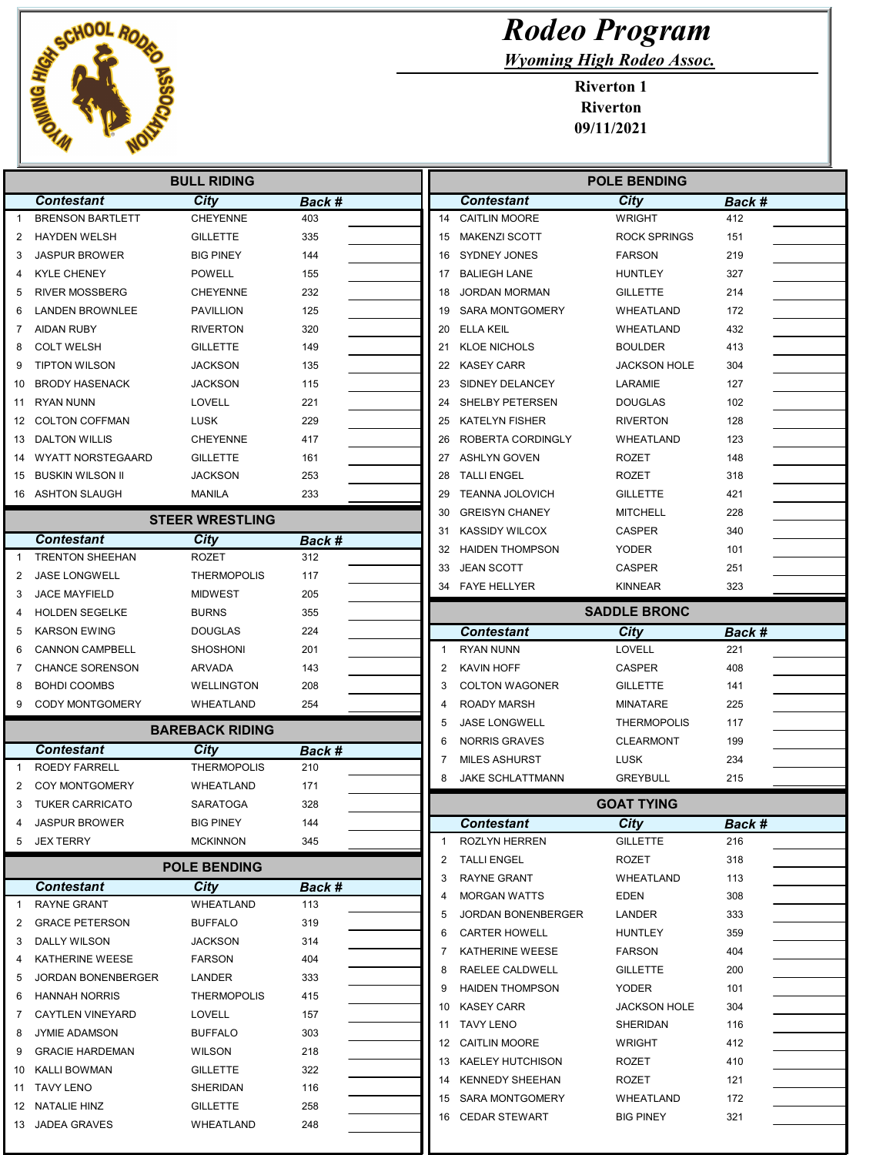

## Rodeo Program

Wyoming High Rodeo Assoc.

Riverton 1 Riverton 09/11/2021

|              | <b>BULL RIDING</b>       |                        |               |  |                | <b>POLE BENDING</b>     |                     |        |  |
|--------------|--------------------------|------------------------|---------------|--|----------------|-------------------------|---------------------|--------|--|
|              | <b>Contestant</b>        | <b>City</b>            | Back #        |  |                | <b>Contestant</b>       | City                | Back # |  |
| $\mathbf{1}$ | <b>BRENSON BARTLETT</b>  | <b>CHEYENNE</b>        | 403           |  | 14             | <b>CAITLIN MOORE</b>    | <b>WRIGHT</b>       | 412    |  |
| 2            | <b>HAYDEN WELSH</b>      | <b>GILLETTE</b>        | 335           |  | 15             | <b>MAKENZI SCOTT</b>    | <b>ROCK SPRINGS</b> | 151    |  |
| 3            | <b>JASPUR BROWER</b>     | <b>BIG PINEY</b>       | 144           |  | 16             | <b>SYDNEY JONES</b>     | <b>FARSON</b>       | 219    |  |
| 4            | <b>KYLE CHENEY</b>       | POWELL                 | 155           |  | 17             | <b>BALIEGH LANE</b>     | <b>HUNTLEY</b>      | 327    |  |
| 5            | <b>RIVER MOSSBERG</b>    | <b>CHEYENNE</b>        | 232           |  | 18             | <b>JORDAN MORMAN</b>    | <b>GILLETTE</b>     | 214    |  |
| 6            | <b>LANDEN BROWNLEE</b>   | PAVILLION              | 125           |  | 19             | <b>SARA MONTGOMERY</b>  | WHEATLAND           | 172    |  |
| 7            | <b>AIDAN RUBY</b>        | <b>RIVERTON</b>        | 320           |  | 20             | ELLA KEIL               | WHEATLAND           | 432    |  |
| 8            | <b>COLT WELSH</b>        | <b>GILLETTE</b>        | 149           |  | 21             | <b>KLOE NICHOLS</b>     | <b>BOULDER</b>      | 413    |  |
| 9            | <b>TIPTON WILSON</b>     | <b>JACKSON</b>         | 135           |  | 22             | <b>KASEY CARR</b>       | <b>JACKSON HOLE</b> | 304    |  |
| 10           | <b>BRODY HASENACK</b>    | JACKSON                | 115           |  | 23             | SIDNEY DELANCEY         | LARAMIE             | 127    |  |
| 11           | RYAN NUNN                | <b>LOVELL</b>          | 221           |  | 24             | SHELBY PETERSEN         | <b>DOUGLAS</b>      | 102    |  |
| 12           | <b>COLTON COFFMAN</b>    | <b>LUSK</b>            | 229           |  | 25             | <b>KATELYN FISHER</b>   | <b>RIVERTON</b>     | 128    |  |
| 13           | <b>DALTON WILLIS</b>     | <b>CHEYENNE</b>        | 417           |  | 26             | ROBERTA CORDINGLY       | WHEATLAND           | 123    |  |
| 14           | <b>WYATT NORSTEGAARD</b> | <b>GILLETTE</b>        | 161           |  | 27             | <b>ASHLYN GOVEN</b>     | <b>ROZET</b>        | 148    |  |
| 15           | BUSKIN WILSON II         | JACKSON                | 253           |  | 28             | <b>TALLI ENGEL</b>      | <b>ROZET</b>        | 318    |  |
|              | 16 ASHTON SLAUGH         | MANILA                 | 233           |  | 29             | <b>TEANNA JOLOVICH</b>  | <b>GILLETTE</b>     | 421    |  |
|              |                          | <b>STEER WRESTLING</b> |               |  | 30             | <b>GREISYN CHANEY</b>   | <b>MITCHELL</b>     | 228    |  |
|              | <b>Contestant</b>        | City                   | Back #        |  | 31             | <b>KASSIDY WILCOX</b>   | <b>CASPER</b>       | 340    |  |
| -1           | <b>TRENTON SHEEHAN</b>   | <b>ROZET</b>           | 312           |  | 32             | <b>HAIDEN THOMPSON</b>  | <b>YODER</b>        | 101    |  |
| 2            | <b>JASE LONGWELL</b>     | <b>THERMOPOLIS</b>     | 117           |  | 33             | <b>JEAN SCOTT</b>       | <b>CASPER</b>       | 251    |  |
| 3            | <b>JACE MAYFIELD</b>     | <b>MIDWEST</b>         | 205           |  | 34             | <b>FAYE HELLYER</b>     | <b>KINNEAR</b>      | 323    |  |
| 4            | <b>HOLDEN SEGELKE</b>    | <b>BURNS</b>           | 355           |  |                |                         | <b>SADDLE BRONC</b> |        |  |
| 5            | <b>KARSON EWING</b>      | <b>DOUGLAS</b>         | 224           |  |                | <b>Contestant</b>       | City                | Back # |  |
| 6            | <b>CANNON CAMPBELL</b>   | SHOSHONI               | 201           |  | $\overline{1}$ | <b>RYAN NUNN</b>        | LOVELL              | 221    |  |
| 7            | <b>CHANCE SORENSON</b>   | ARVADA                 | 143           |  | $\overline{2}$ | KAVIN HOFF              | <b>CASPER</b>       | 408    |  |
| 8            | <b>BOHDI COOMBS</b>      | <b>WELLINGTON</b>      | 208           |  | 3              | <b>COLTON WAGONER</b>   | <b>GILLETTE</b>     | 141    |  |
| 9            | CODY MONTGOMERY          | WHEATLAND              | 254           |  |                | <b>ROADY MARSH</b>      | <b>MINATARE</b>     | 225    |  |
|              |                          | <b>BAREBACK RIDING</b> |               |  | 5              | <b>JASE LONGWELL</b>    | <b>THERMOPOLIS</b>  | 117    |  |
|              | <b>Contestant</b>        | City                   | Back #        |  | 6              | <b>NORRIS GRAVES</b>    | <b>CLEARMONT</b>    | 199    |  |
| 1            | <b>ROEDY FARRELL</b>     | <b>THERMOPOLIS</b>     | 210           |  | 7              | <b>MILES ASHURST</b>    | LUSK                | 234    |  |
| 2            | COY MONTGOMERY           | WHEATLAND              | 171           |  | 8              | <b>JAKE SCHLATTMANN</b> | <b>GREYBULL</b>     | 215    |  |
| 3            | <b>TUKER CARRICATO</b>   | SARATOGA               | 328           |  |                |                         | <b>GOAT TYING</b>   |        |  |
|              | <b>JASPUR BROWER</b>     | BIG PINEY              | 144           |  |                | <b>Contestant</b>       | <b>City</b>         | Back # |  |
|              | 5 JEX TERRY              | <b>MCKINNON</b>        | 345           |  | $\mathbf{1}$   | ROZLYN HERREN           | <b>GILLETTE</b>     | 216    |  |
|              |                          | <b>POLE BENDING</b>    |               |  | 2              | <b>TALLI ENGEL</b>      | ROZET               | 318    |  |
|              | <b>Contestant</b>        | City                   |               |  | 3              | RAYNE GRANT             | WHEATLAND           | 113    |  |
| -1           | RAYNE GRANT              | WHEATLAND              | Back #<br>113 |  | 4              | <b>MORGAN WATTS</b>     | EDEN                | 308    |  |
| 2            | <b>GRACE PETERSON</b>    | <b>BUFFALO</b>         | 319           |  | 5              | JORDAN BONENBERGER      | LANDER              | 333    |  |
| 3            | DALLY WILSON             | JACKSON                | 314           |  | 6              | <b>CARTER HOWELL</b>    | <b>HUNTLEY</b>      | 359    |  |
| 4            | KATHERINE WEESE          | <b>FARSON</b>          | 404           |  | 7              | KATHERINE WEESE         | <b>FARSON</b>       | 404    |  |
| 5            | JORDAN BONENBERGER       | LANDER                 | 333           |  | 8              | RAELEE CALDWELL         | <b>GILLETTE</b>     | 200    |  |
| 6            | <b>HANNAH NORRIS</b>     | <b>THERMOPOLIS</b>     | 415           |  | 9              | <b>HAIDEN THOMPSON</b>  | <b>YODER</b>        | 101    |  |
| 7            | <b>CAYTLEN VINEYARD</b>  | LOVELL                 | 157           |  | 10             | KASEY CARR              | <b>JACKSON HOLE</b> | 304    |  |
| 8            | <b>JYMIE ADAMSON</b>     | <b>BUFFALO</b>         | 303           |  | 11             | <b>TAVY LENO</b>        | SHERIDAN            | 116    |  |
| 9            | <b>GRACIE HARDEMAN</b>   | <b>WILSON</b>          | 218           |  |                | 12 CAITLIN MOORE        | <b>WRIGHT</b>       | 412    |  |
| 10           | KALLI BOWMAN             | GILLETTE               | 322           |  |                | 13 KAELEY HUTCHISON     | ROZET               | 410    |  |
|              | 11 TAVY LENO             | SHERIDAN               | 116           |  | 14             | <b>KENNEDY SHEEHAN</b>  | ROZET               | 121    |  |
|              | 12 NATALIE HINZ          | GILLETTE               | 258           |  |                | 15 SARA MONTGOMERY      | WHEATLAND           | 172    |  |
|              | 13 JADEA GRAVES          | WHEATLAND              | 248           |  |                | 16 CEDAR STEWART        | <b>BIG PINEY</b>    | 321    |  |
|              |                          |                        |               |  |                |                         |                     |        |  |

Ш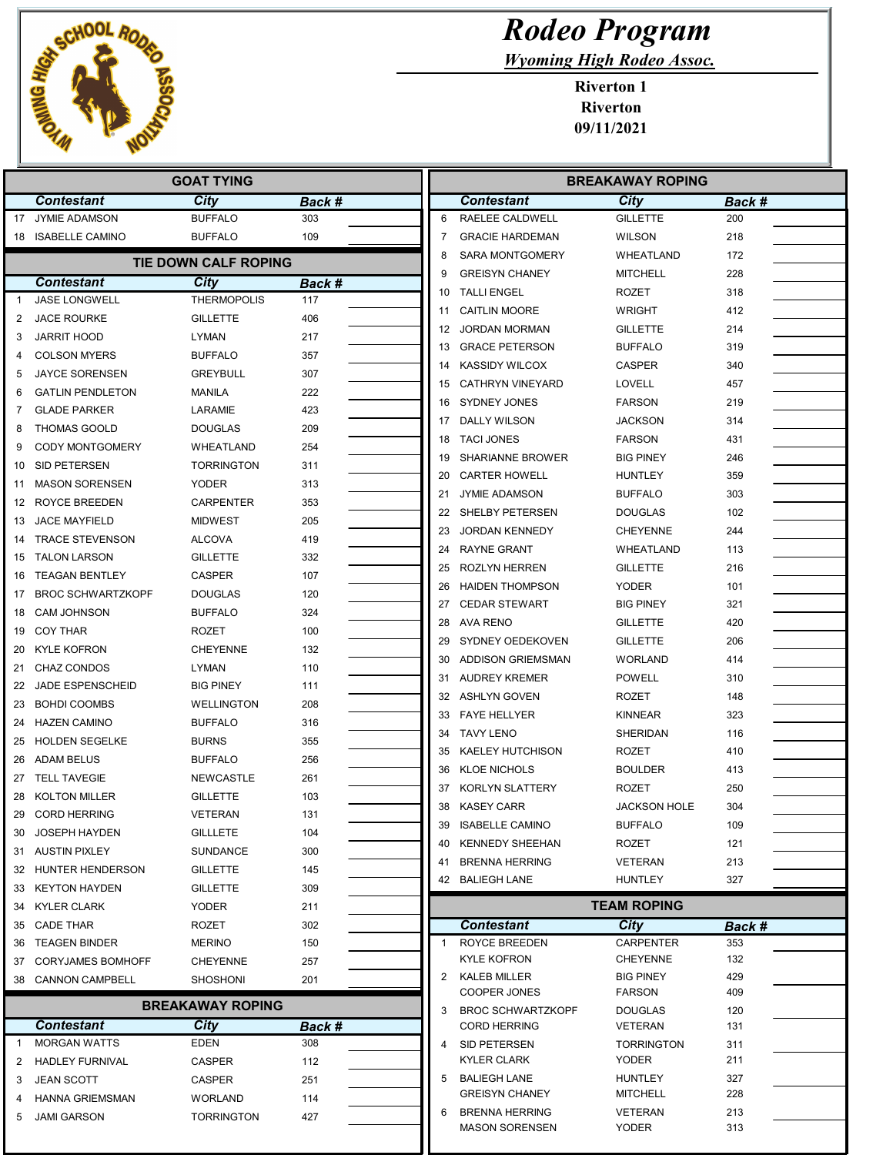

| <b>Rodeo Program</b> |
|----------------------|
|                      |

Wyoming High Rodeo Assoc.

Riverton 1 Riverton 09/11/2021

|              | <b>GOAT TYING</b>        |                           |               |  |                | <b>BREAKAWAY ROPING</b>                         |                                       |            |  |
|--------------|--------------------------|---------------------------|---------------|--|----------------|-------------------------------------------------|---------------------------------------|------------|--|
|              | <b>Contestant</b>        | City                      | Back #        |  |                | <b>Contestant</b>                               | City                                  | Back #     |  |
| 17           | <b>JYMIE ADAMSON</b>     | <b>BUFFALO</b>            | 303           |  | 6              | RAELEE CALDWELL                                 | <b>GILLETTE</b>                       | 200        |  |
| 18           | <b>ISABELLE CAMINO</b>   | <b>BUFFALO</b>            | 109           |  | 7              | <b>GRACIE HARDEMAN</b>                          | <b>WILSON</b>                         | 218        |  |
|              |                          | TIE DOWN CALF ROPING      |               |  | 8              | <b>SARA MONTGOMERY</b>                          | WHEATLAND                             | 172        |  |
|              | <b>Contestant</b>        | <b>City</b>               | <b>Back #</b> |  | 9              | <b>GREISYN CHANEY</b>                           | <b>MITCHELL</b>                       | 228        |  |
| $\mathbf{1}$ | JASE LONGWELL            | <b>THERMOPOLIS</b>        | 117           |  | 10             | <b>TALLI ENGEL</b>                              | <b>ROZET</b>                          | 318        |  |
| 2            | <b>JACE ROURKE</b>       | <b>GILLETTE</b>           | 406           |  | 11             | <b>CAITLIN MOORE</b>                            | <b>WRIGHT</b>                         | 412        |  |
| 3            | <b>JARRIT HOOD</b>       | LYMAN                     | 217           |  | 12             | <b>JORDAN MORMAN</b>                            | <b>GILLETTE</b>                       | 214        |  |
| 4            | <b>COLSON MYERS</b>      | <b>BUFFALO</b>            | 357           |  | 13             | <b>GRACE PETERSON</b>                           | <b>BUFFALO</b>                        | 319        |  |
| 5            | <b>JAYCE SORENSEN</b>    | <b>GREYBULL</b>           | 307           |  | 14             | <b>KASSIDY WILCOX</b>                           | <b>CASPER</b>                         | 340        |  |
| 6            | <b>GATLIN PENDLETON</b>  | <b>MANILA</b>             | 222           |  | 15             | <b>CATHRYN VINEYARD</b>                         | LOVELL                                | 457        |  |
| 7            | <b>GLADE PARKER</b>      | LARAMIE                   | 423           |  | 16             | <b>SYDNEY JONES</b>                             | <b>FARSON</b>                         | 219        |  |
| 8            | <b>THOMAS GOOLD</b>      | <b>DOUGLAS</b>            | 209           |  | 17             | DALLY WILSON                                    | <b>JACKSON</b>                        | 314        |  |
| 9            | <b>CODY MONTGOMERY</b>   | WHEATLAND                 | 254           |  | 18             | <b>TACI JONES</b>                               | <b>FARSON</b>                         | 431        |  |
| 10           | SID PETERSEN             | <b>TORRINGTON</b>         | 311           |  | 19             | <b>SHARIANNE BROWER</b>                         | <b>BIG PINEY</b>                      | 246        |  |
|              | <b>MASON SORENSEN</b>    |                           |               |  | 20             | <b>CARTER HOWELL</b>                            | <b>HUNTLEY</b>                        | 359        |  |
| 11           |                          | YODER<br><b>CARPENTER</b> | 313           |  | 21             | <b>JYMIE ADAMSON</b>                            | <b>BUFFALO</b>                        | 303        |  |
| 12           | ROYCE BREEDEN            |                           | 353           |  | 22             | SHELBY PETERSEN                                 | <b>DOUGLAS</b>                        | 102        |  |
| 13           | <b>JACE MAYFIELD</b>     | <b>MIDWEST</b>            | 205           |  | 23             | <b>JORDAN KENNEDY</b>                           | <b>CHEYENNE</b>                       | 244        |  |
| 14           | <b>TRACE STEVENSON</b>   | <b>ALCOVA</b>             | 419           |  | 24             | <b>RAYNE GRANT</b>                              | WHEATLAND                             | 113        |  |
| 15           | <b>TALON LARSON</b>      | <b>GILLETTE</b>           | 332           |  | 25             | <b>ROZLYN HERREN</b>                            | <b>GILLETTE</b>                       | 216        |  |
| 16           | <b>TEAGAN BENTLEY</b>    | <b>CASPER</b>             | 107           |  | 26             | <b>HAIDEN THOMPSON</b>                          | <b>YODER</b>                          | 101        |  |
| 17           | <b>BROC SCHWARTZKOPF</b> | <b>DOUGLAS</b>            | 120           |  | 27             | <b>CEDAR STEWART</b>                            | <b>BIG PINEY</b>                      | 321        |  |
| 18           | <b>CAM JOHNSON</b>       | <b>BUFFALO</b>            | 324           |  | 28             | AVA RENO                                        | <b>GILLETTE</b>                       | 420        |  |
| 19           | <b>COY THAR</b>          | ROZET                     | 100           |  | 29             | SYDNEY OEDEKOVEN                                | <b>GILLETTE</b>                       | 206        |  |
| 20           | <b>KYLE KOFRON</b>       | <b>CHEYENNE</b>           | 132           |  | 30             | <b>ADDISON GRIEMSMAN</b>                        | <b>WORLAND</b>                        | 414        |  |
| 21           | <b>CHAZ CONDOS</b>       | LYMAN                     | 110           |  | 31             | <b>AUDREY KREMER</b>                            | <b>POWELL</b>                         | 310        |  |
| 22           | <b>JADE ESPENSCHEID</b>  | <b>BIG PINEY</b>          | 111           |  | 32             | <b>ASHLYN GOVEN</b>                             | <b>ROZET</b>                          | 148        |  |
| 23           | <b>BOHDI COOMBS</b>      | WELLINGTON                | 208           |  | 33             | <b>FAYE HELLYER</b>                             | <b>KINNEAR</b>                        | 323        |  |
| 24           | <b>HAZEN CAMINO</b>      | <b>BUFFALO</b>            | 316           |  | 34             | <b>TAVY LENO</b>                                | SHERIDAN                              | 116        |  |
| 25           | <b>HOLDEN SEGELKE</b>    | <b>BURNS</b>              | 355           |  | 35             | <b>KAELEY HUTCHISON</b>                         | ROZET                                 | 410        |  |
| 26           | <b>ADAM BELUS</b>        | <b>BUFFALO</b>            | 256           |  | 36             | <b>KLOE NICHOLS</b>                             | BOULDER                               | 413        |  |
| 27           | <b>TELL TAVEGIE</b>      | <b>NEWCASTLE</b>          | 261           |  | 37             | KORLYN SLATTERY                                 | <b>ROZET</b>                          | 250        |  |
| 28           | <b>KOLTON MILLER</b>     | <b>GILLETTE</b>           | 103           |  | 38             |                                                 |                                       | 304        |  |
| 29           | <b>CORD HERRING</b>      | <b>VETERAN</b>            | 131           |  |                | KASEY CARR                                      | <b>JACKSON HOLE</b><br><b>BUFFALO</b> |            |  |
| 30           | <b>JOSEPH HAYDEN</b>     | <b>GILLLETE</b>           | 104           |  | 39             | <b>ISABELLE CAMINO</b>                          |                                       | 109        |  |
|              | 31 AUSTIN PIXLEY         | <b>SUNDANCE</b>           | 300           |  | 40             | <b>KENNEDY SHEEHAN</b>                          | ROZET                                 | 121        |  |
|              | 32 HUNTER HENDERSON      | <b>GILLETTE</b>           | 145           |  | 41             | <b>BRENNA HERRING</b>                           | <b>VETERAN</b>                        | 213        |  |
| 33           | <b>KEYTON HAYDEN</b>     | <b>GILLETTE</b>           | 309           |  |                | 42 BALIEGH LANE                                 | <b>HUNTLEY</b>                        | 327        |  |
| 34           | <b>KYLER CLARK</b>       | <b>YODER</b>              | 211           |  |                |                                                 | <b>TEAM ROPING</b>                    |            |  |
|              | 35 CADE THAR             | ROZET                     | 302           |  |                | <b>Contestant</b>                               | City                                  | Back #     |  |
| 36           | <b>TEAGEN BINDER</b>     | <b>MERINO</b>             | 150           |  | $\mathbf{1}$   | <b>ROYCE BREEDEN</b>                            | <b>CARPENTER</b>                      | 353        |  |
| 37           | <b>CORYJAMES BOMHOFF</b> | <b>CHEYENNE</b>           | 257           |  |                | KYLE KOFRON                                     | <b>CHEYENNE</b>                       | 132        |  |
|              | 38 CANNON CAMPBELL       | <b>SHOSHONI</b>           | 201           |  | $\overline{2}$ | KALEB MILLER                                    | <b>BIG PINEY</b>                      | 429        |  |
|              |                          | <b>BREAKAWAY ROPING</b>   |               |  |                | COOPER JONES                                    | <b>FARSON</b>                         | 409        |  |
|              | <b>Contestant</b>        | City                      | Back #        |  | 3              | <b>BROC SCHWARTZKOPF</b><br><b>CORD HERRING</b> | <b>DOUGLAS</b><br><b>VETERAN</b>      | 120<br>131 |  |
| 1            | <b>MORGAN WATTS</b>      | EDEN                      | 308           |  | 4              | SID PETERSEN                                    | <b>TORRINGTON</b>                     | 311        |  |
| 2            | <b>HADLEY FURNIVAL</b>   | CASPER                    | 112           |  |                | KYLER CLARK                                     | <b>YODER</b>                          | 211        |  |
| 3            | <b>JEAN SCOTT</b>        | CASPER                    | 251           |  | 5              | <b>BALIEGH LANE</b>                             | <b>HUNTLEY</b>                        | 327        |  |
| 4            | HANNA GRIEMSMAN          | WORLAND                   | 114           |  |                | <b>GREISYN CHANEY</b>                           | <b>MITCHELL</b>                       | 228        |  |
| 5            | <b>JAMI GARSON</b>       | <b>TORRINGTON</b>         | 427           |  | 6              | <b>BRENNA HERRING</b>                           | <b>VETERAN</b>                        | 213        |  |
|              |                          |                           |               |  |                | <b>MASON SORENSEN</b>                           | <b>YODER</b>                          | 313        |  |
|              |                          |                           |               |  |                |                                                 |                                       |            |  |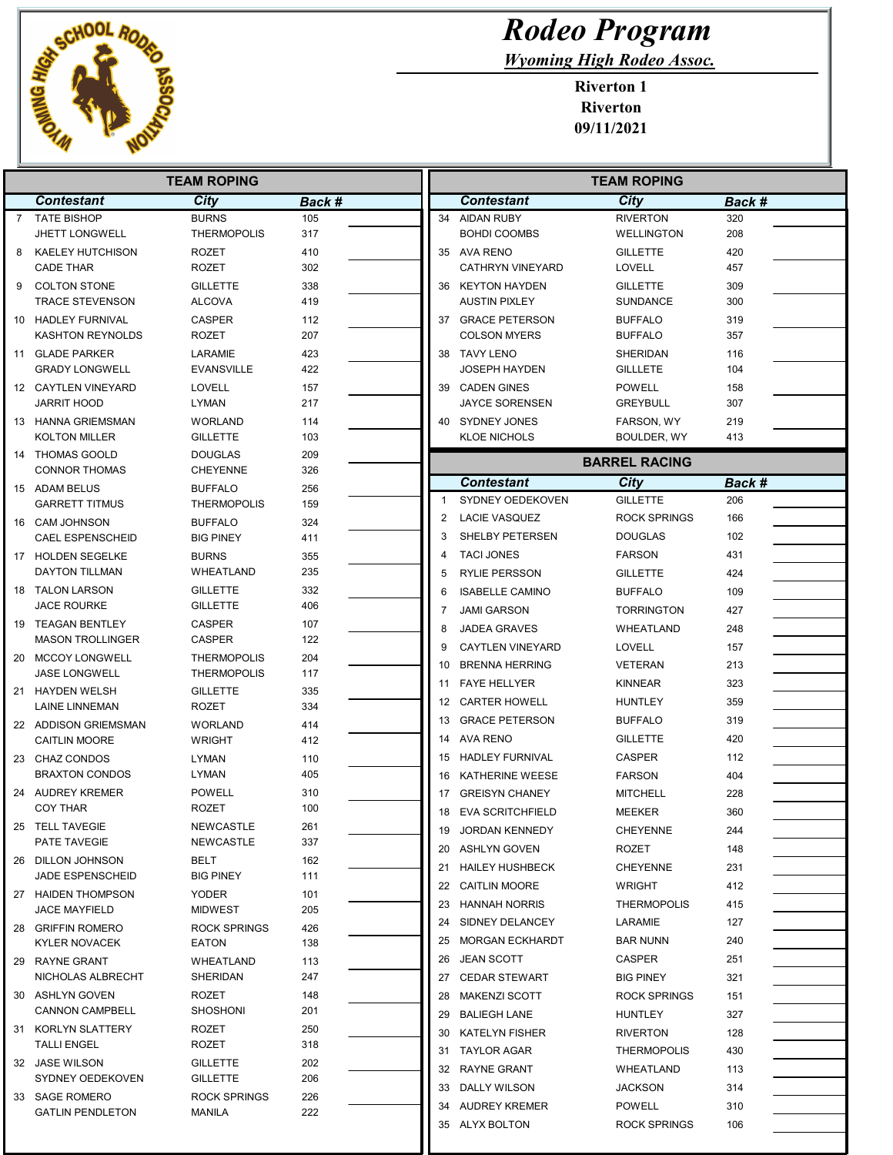

## Rodeo Program

Wyoming High Rodeo Assoc.

Riverton 1 Riverton 09/11/2021

|   | <b>TEAM ROPING</b>                        |                                      |            |                | <b>TEAM ROPING</b>      |                      |        |  |
|---|-------------------------------------------|--------------------------------------|------------|----------------|-------------------------|----------------------|--------|--|
|   | <b>Contestant</b>                         | City                                 | Back #     |                | <b>Contestant</b>       | City                 | Back # |  |
| 7 | <b>TATE BISHOP</b>                        | <b>BURNS</b>                         | 105        |                | 34 AIDAN RUBY           | <b>RIVERTON</b>      | 320    |  |
|   | <b>JHETT LONGWELL</b>                     | <b>THERMOPOLIS</b>                   | 317        |                | <b>BOHDI COOMBS</b>     | <b>WELLINGTON</b>    | 208    |  |
| 8 | KAELEY HUTCHISON                          | ROZET                                | 410        |                | 35 AVA RENO             | <b>GILLETTE</b>      | 420    |  |
|   | <b>CADE THAR</b>                          | ROZET                                | 302        |                | <b>CATHRYN VINEYARD</b> | <b>LOVELL</b>        | 457    |  |
| 9 | <b>COLTON STONE</b>                       | <b>GILLETTE</b>                      | 338        |                | 36 KEYTON HAYDEN        | <b>GILLETTE</b>      | 309    |  |
|   | <b>TRACE STEVENSON</b>                    | <b>ALCOVA</b>                        | 419        |                | <b>AUSTIN PIXLEY</b>    | <b>SUNDANCE</b>      | 300    |  |
|   | 10 HADLEY FURNIVAL                        | <b>CASPER</b>                        | 112        |                | 37 GRACE PETERSON       | <b>BUFFALO</b>       | 319    |  |
|   | <b>KASHTON REYNOLDS</b>                   | ROZET                                | 207        |                | <b>COLSON MYERS</b>     | <b>BUFFALO</b>       | 357    |  |
|   | 11 GLADE PARKER                           | LARAMIE                              | 423        |                | 38 TAVY LENO            | <b>SHERIDAN</b>      | 116    |  |
|   | <b>GRADY LONGWELL</b>                     | <b>EVANSVILLE</b>                    | 422        |                | <b>JOSEPH HAYDEN</b>    | <b>GILLLETE</b>      | 104    |  |
|   | 12 CAYTLEN VINEYARD                       | <b>LOVELL</b>                        | 157        |                | 39 CADEN GINES          | <b>POWELL</b>        | 158    |  |
|   | <b>JARRIT HOOD</b>                        | LYMAN                                | 217        |                | <b>JAYCE SORENSEN</b>   | <b>GREYBULL</b>      | 307    |  |
|   | 13 HANNA GRIEMSMAN                        | <b>WORLAND</b>                       | 114        |                | 40 SYDNEY JONES         | FARSON, WY           | 219    |  |
|   | <b>KOLTON MILLER</b>                      | <b>GILLETTE</b>                      | 103        |                | <b>KLOE NICHOLS</b>     | BOULDER, WY          | 413    |  |
|   | 14 THOMAS GOOLD                           | <b>DOUGLAS</b>                       | 209        |                |                         | <b>BARREL RACING</b> |        |  |
|   | <b>CONNOR THOMAS</b>                      | <b>CHEYENNE</b>                      | 326        |                | <b>Contestant</b>       | City                 | Back # |  |
|   | 15 ADAM BELUS<br><b>GARRETT TITMUS</b>    | <b>BUFFALO</b><br><b>THERMOPOLIS</b> | 256<br>159 | -1             | SYDNEY OEDEKOVEN        | <b>GILLETTE</b>      | 206    |  |
|   |                                           |                                      |            | $\overline{2}$ | <b>LACIE VASQUEZ</b>    | <b>ROCK SPRINGS</b>  | 166    |  |
|   | 16 CAM JOHNSON<br><b>CAEL ESPENSCHEID</b> | <b>BUFFALO</b><br><b>BIG PINEY</b>   | 324<br>411 | 3              | SHELBY PETERSEN         | <b>DOUGLAS</b>       | 102    |  |
|   | 17 HOLDEN SEGELKE                         | <b>BURNS</b>                         | 355        | 4              | <b>TACI JONES</b>       | <b>FARSON</b>        | 431    |  |
|   | DAYTON TILLMAN                            | WHEATLAND                            | 235        | 5              | <b>RYLIE PERSSON</b>    | <b>GILLETTE</b>      | 424    |  |
|   | 18 TALON LARSON                           | <b>GILLETTE</b>                      | 332        |                |                         |                      |        |  |
|   | <b>JACE ROURKE</b>                        | <b>GILLETTE</b>                      | 406        | 6              | <b>ISABELLE CAMINO</b>  | <b>BUFFALO</b>       | 109    |  |
|   | 19 TEAGAN BENTLEY                         | <b>CASPER</b>                        | 107        | 7              | <b>JAMI GARSON</b>      | <b>TORRINGTON</b>    | 427    |  |
|   | <b>MASON TROLLINGER</b>                   | <b>CASPER</b>                        | 122        | 8              | <b>JADEA GRAVES</b>     | WHEATLAND            | 248    |  |
|   | 20 MCCOY LONGWELL                         | <b>THERMOPOLIS</b>                   | 204        | 9              | <b>CAYTLEN VINEYARD</b> | <b>LOVELL</b>        | 157    |  |
|   | <b>JASE LONGWELL</b>                      | <b>THERMOPOLIS</b>                   | 117        | 10             | <b>BRENNA HERRING</b>   | <b>VETERAN</b>       | 213    |  |
|   | 21 HAYDEN WELSH                           | <b>GILLETTE</b>                      | 335        | 11             | <b>FAYE HELLYER</b>     | <b>KINNEAR</b>       | 323    |  |
|   | LAINE LINNEMAN                            | ROZET                                | 334        |                | 12 CARTER HOWELL        | <b>HUNTLEY</b>       | 359    |  |
|   | 22 ADDISON GRIEMSMAN                      | <b>WORLAND</b>                       | 414        |                | 13 GRACE PETERSON       | <b>BUFFALO</b>       | 319    |  |
|   | <b>CAITLIN MOORE</b>                      | <b>WRIGHT</b>                        | 412        |                | 14 AVA RENO             | <b>GILLETTE</b>      | 420    |  |
|   | 23 CHAZ CONDOS                            | LYMAN                                | 110        | 15             | <b>HADLEY FURNIVAL</b>  | <b>CASPER</b>        | 112    |  |
|   | <b>BRAXTON CONDOS</b>                     | LYMAN                                | 405        | 16             | KATHERINE WEESE         | <b>FARSON</b>        | 404    |  |
|   | 24 AUDREY KREMER                          | <b>POWELL</b>                        | 310        | 17             | <b>GREISYN CHANEY</b>   | <b>MITCHELL</b>      | 228    |  |
|   | <b>COY THAR</b>                           | ROZET                                | 100        | 18             | <b>EVA SCRITCHFIELD</b> | <b>MEEKER</b>        | 360    |  |
|   | 25 TELL TAVEGIE                           | NEWCASTLE                            | 261        | 19             | JORDAN KENNEDY          | <b>CHEYENNE</b>      | 244    |  |
|   | PATE TAVEGIE                              | <b>NEWCASTLE</b>                     | 337        |                | 20 ASHLYN GOVEN         | <b>ROZET</b>         | 148    |  |
|   | 26 DILLON JOHNSON                         | <b>BELT</b>                          | 162        |                | 21 HAILEY HUSHBECK      | <b>CHEYENNE</b>      | 231    |  |
|   | JADE ESPENSCHEID                          | <b>BIG PINEY</b>                     | 111        |                | 22 CAITLIN MOORE        | <b>WRIGHT</b>        | 412    |  |
|   | 27 HAIDEN THOMPSON                        | <b>YODER</b>                         | 101        |                |                         |                      |        |  |
|   | <b>JACE MAYFIELD</b>                      | MIDWEST                              | 205        |                | 23 HANNAH NORRIS        | <b>THERMOPOLIS</b>   | 415    |  |
|   | 28 GRIFFIN ROMERO                         | <b>ROCK SPRINGS</b>                  | 426        |                | 24 SIDNEY DELANCEY      | LARAMIE              | 127    |  |
|   | <b>KYLER NOVACEK</b>                      | EATON                                | 138        |                | 25 MORGAN ECKHARDT      | <b>BAR NUNN</b>      | 240    |  |
|   | 29 RAYNE GRANT                            | WHEATLAND                            | 113        |                | 26 JEAN SCOTT           | CASPER               | 251    |  |
|   | NICHOLAS ALBRECHT                         | SHERIDAN                             | 247        |                | 27 CEDAR STEWART        | <b>BIG PINEY</b>     | 321    |  |
|   | 30 ASHLYN GOVEN                           | <b>ROZET</b>                         | 148        |                | 28 MAKENZI SCOTT        | <b>ROCK SPRINGS</b>  | 151    |  |
|   | <b>CANNON CAMPBELL</b>                    | <b>SHOSHONI</b>                      | 201        |                | 29 BALIEGH LANE         | HUNTLEY              | 327    |  |
|   | 31 KORLYN SLATTERY                        | ROZET                                | 250        |                | 30 KATELYN FISHER       | <b>RIVERTON</b>      | 128    |  |
|   | <b>TALLI ENGEL</b>                        | ROZET                                | 318        |                | 31 TAYLOR AGAR          | <b>THERMOPOLIS</b>   | 430    |  |
|   | 32 JASE WILSON                            | <b>GILLETTE</b>                      | 202        |                | 32 RAYNE GRANT          | WHEATLAND            | 113    |  |
|   | SYDNEY OEDEKOVEN                          | <b>GILLETTE</b>                      | 206        |                | 33 DALLY WILSON         | JACKSON              | 314    |  |
|   |                                           | <b>ROCK SPRINGS</b>                  | 226        |                |                         |                      |        |  |
|   | 33 SAGE ROMERO<br><b>GATLIN PENDLETON</b> | MANILA                               | 222        |                | 34 AUDREY KREMER        | <b>POWELL</b>        | 310    |  |